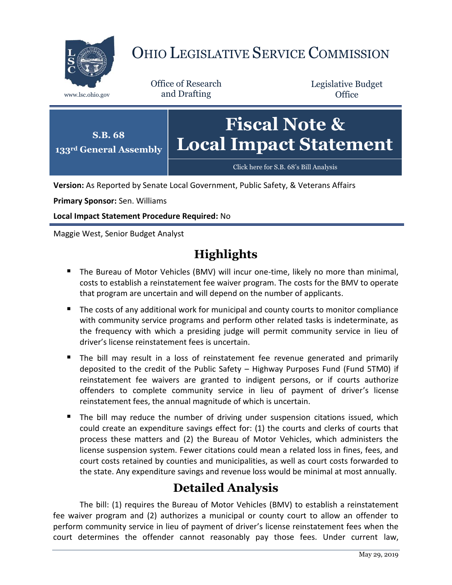

# OHIO LEGISLATIVE SERVICE COMMISSION

Office of Research www.lsc.ohio.gov and Drafting

Legislative Budget **Office** 



**Version:** As Reported by Senate Local Government, Public Safety, & Veterans Affairs

**Primary Sponsor:** Sen. Williams

**Local Impact Statement Procedure Required:** No

Maggie West, Senior Budget Analyst

# **Highlights**

- The Bureau of Motor Vehicles (BMV) will incur one-time, likely no more than minimal, costs to establish a reinstatement fee waiver program. The costs for the BMV to operate that program are uncertain and will depend on the number of applicants.
- The costs of any additional work for municipal and county courts to monitor compliance with community service programs and perform other related tasks is indeterminate, as the frequency with which a presiding judge will permit community service in lieu of driver's license reinstatement fees is uncertain.
- The bill may result in a loss of reinstatement fee revenue generated and primarily deposited to the credit of the Public Safety – Highway Purposes Fund (Fund 5TM0) if reinstatement fee waivers are granted to indigent persons, or if courts authorize offenders to complete community service in lieu of payment of driver's license reinstatement fees, the annual magnitude of which is uncertain.
- The bill may reduce the number of driving under suspension citations issued, which could create an expenditure savings effect for: (1) the courts and clerks of courts that process these matters and (2) the Bureau of Motor Vehicles, which administers the license suspension system. Fewer citations could mean a related loss in fines, fees, and court costs retained by counties and municipalities, as well as court costs forwarded to the state. Any expenditure savings and revenue loss would be minimal at most annually.

# **Detailed Analysis**

The bill: (1) requires the Bureau of Motor Vehicles (BMV) to establish a reinstatement fee waiver program and (2) authorizes a municipal or county court to allow an offender to perform community service in lieu of payment of driver's license reinstatement fees when the court determines the offender cannot reasonably pay those fees. Under current law,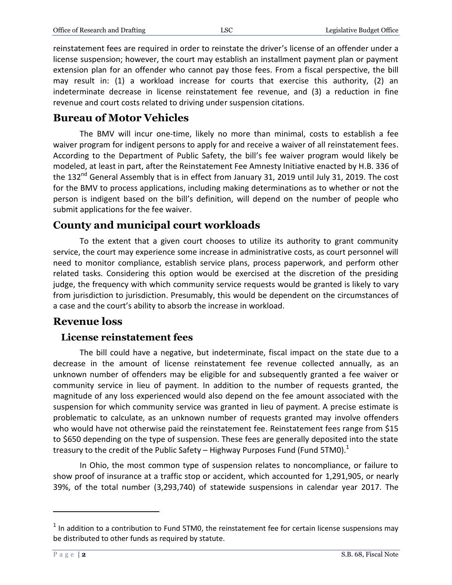reinstatement fees are required in order to reinstate the driver's license of an offender under a license suspension; however, the court may establish an installment payment plan or payment extension plan for an offender who cannot pay those fees. From a fiscal perspective, the bill may result in: (1) a workload increase for courts that exercise this authority, (2) an indeterminate decrease in license reinstatement fee revenue, and (3) a reduction in fine revenue and court costs related to driving under suspension citations.

### **Bureau of Motor Vehicles**

The BMV will incur one-time, likely no more than minimal, costs to establish a fee waiver program for indigent persons to apply for and receive a waiver of all reinstatement fees. According to the Department of Public Safety, the bill's fee waiver program would likely be modeled, at least in part, after the Reinstatement Fee Amnesty Initiative enacted by H.B. 336 of the 132<sup>nd</sup> General Assembly that is in effect from January 31, 2019 until July 31, 2019. The cost for the BMV to process applications, including making determinations as to whether or not the person is indigent based on the bill's definition, will depend on the number of people who submit applications for the fee waiver.

## **County and municipal court workloads**

To the extent that a given court chooses to utilize its authority to grant community service, the court may experience some increase in administrative costs, as court personnel will need to monitor compliance, establish service plans, process paperwork, and perform other related tasks. Considering this option would be exercised at the discretion of the presiding judge, the frequency with which community service requests would be granted is likely to vary from jurisdiction to jurisdiction. Presumably, this would be dependent on the circumstances of a case and the court's ability to absorb the increase in workload.

## **Revenue loss**

#### **License reinstatement fees**

The bill could have a negative, but indeterminate, fiscal impact on the state due to a decrease in the amount of license reinstatement fee revenue collected annually, as an unknown number of offenders may be eligible for and subsequently granted a fee waiver or community service in lieu of payment. In addition to the number of requests granted, the magnitude of any loss experienced would also depend on the fee amount associated with the suspension for which community service was granted in lieu of payment. A precise estimate is problematic to calculate, as an unknown number of requests granted may involve offenders who would have not otherwise paid the reinstatement fee. Reinstatement fees range from \$15 to \$650 depending on the type of suspension. These fees are generally deposited into the state treasury to the credit of the Public Safety – Highway Purposes Fund (Fund 5TM0). $^1$ 

In Ohio, the most common type of suspension relates to noncompliance, or failure to show proof of insurance at a traffic stop or accident, which accounted for 1,291,905, or nearly 39%, of the total number (3,293,740) of statewide suspensions in calendar year 2017. The

 $\overline{a}$ 

 $<sup>1</sup>$  In addition to a contribution to Fund 5TM0, the reinstatement fee for certain license suspensions may</sup> be distributed to other funds as required by statute.